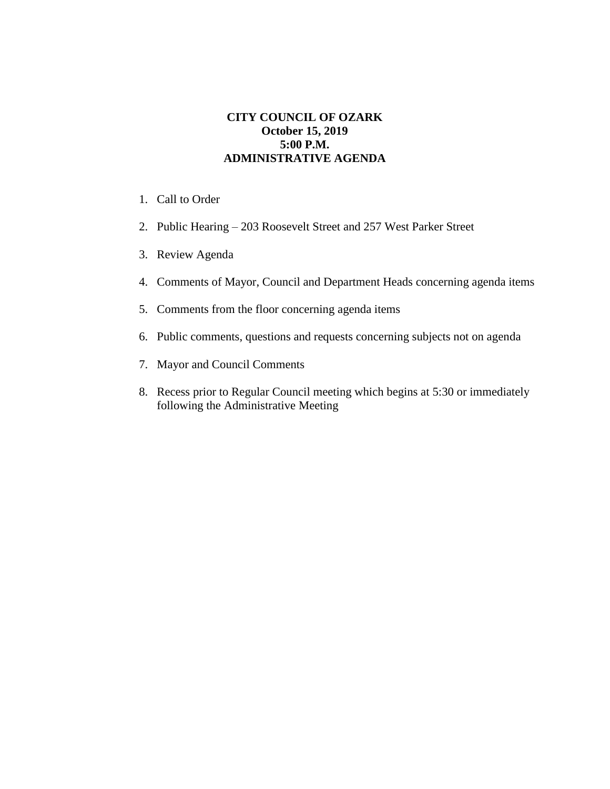## **CITY COUNCIL OF OZARK October 15, 2019 5:00 P.M. ADMINISTRATIVE AGENDA**

- 1. Call to Order
- 2. Public Hearing 203 Roosevelt Street and 257 West Parker Street
- 3. Review Agenda
- 4. Comments of Mayor, Council and Department Heads concerning agenda items
- 5. Comments from the floor concerning agenda items
- 6. Public comments, questions and requests concerning subjects not on agenda
- 7. Mayor and Council Comments
- 8. Recess prior to Regular Council meeting which begins at 5:30 or immediately following the Administrative Meeting